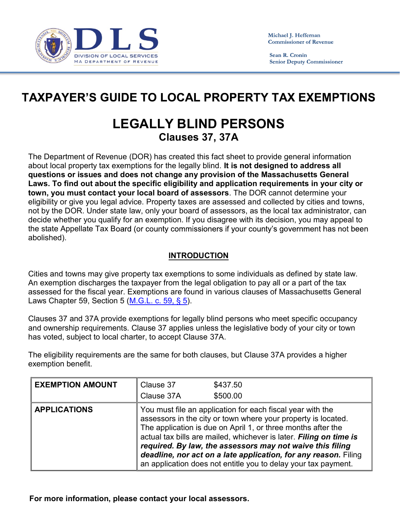

Sean R. Cronin **Senior Deputy Commissioner** 

## **TAXPAYER'S GUIDE TO LOCAL PROPERTY TAX EXEMPTIONS**

## LEGALLY BLIND PERSONS Clauses 37, 37A

The Department of Revenue (DOR) has created this fact sheet to provide general information about local property tax exemptions for the legally blind. It is not designed to address all questions or issues and does not change any provision of the Massachusetts General Laws. To find out about the specific eligibility and application requirements in your city or town, you must contact your local board of assessors. The DOR cannot determine your eligibility or give you legal advice. Property taxes are assessed and collected by cities and towns, not by the DOR. Under state law, only your board of assessors, as the local tax administrator, can decide whether you qualify for an exemption. If you disagree with its decision, you may appeal to the state Appellate Tax Board (or county commissioners if your county's government has not been abolished).

## INTRODUCTION

Cities and towns may give property tax exemptions to some individuals as defined by state law.<br>An exemption discharges the taxpayer from the legal obligation to pay all or a part of the tax assessed for the fiscal year. Exemptions are found in various clauses of Massachusetts General Laws Chapter 59, Section 5 (<u>M.G.L. c. 59, § 5</u>).<br>Clauses 37 and 37A provide exemptions for legally blind persons who meet specific occupancy

and ownership requirements. Clause 37 applies unless the legislative body of your city or town

has voted, subject to local charter, to accept Clause 37A.<br>The eligibility requirements are the same for both clauses, but Clause 37A provides a higher exemption benefit.

| <b>EXEMPTION AMOUNT</b> | Clause 37  | \$437.50                                                                                                                                                                                                                                                                                                                                                                                                                                                            |
|-------------------------|------------|---------------------------------------------------------------------------------------------------------------------------------------------------------------------------------------------------------------------------------------------------------------------------------------------------------------------------------------------------------------------------------------------------------------------------------------------------------------------|
|                         | Clause 37A | \$500.00                                                                                                                                                                                                                                                                                                                                                                                                                                                            |
| <b>APPLICATIONS</b>     |            | You must file an application for each fiscal year with the<br>assessors in the city or town where your property is located.<br>The application is due on April 1, or three months after the<br>actual tax bills are mailed, whichever is later. Filing on time is<br>required. By law, the assessors may not waive this filing<br>deadline, nor act on a late application, for any reason. Filing<br>an application does not entitle you to delay your tax payment. |

For more information, please contact your local assessors.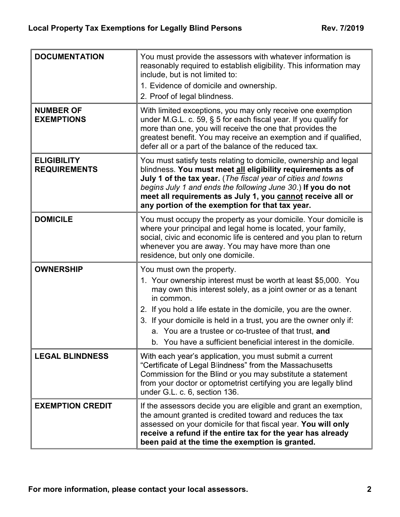| <b>DOCUMENTATION</b>                      | You must provide the assessors with whatever information is<br>reasonably required to establish eligibility. This information may<br>include, but is not limited to:<br>1. Evidence of domicile and ownership.<br>2. Proof of legal blindness.                                                                                                                                                                                                  |
|-------------------------------------------|-------------------------------------------------------------------------------------------------------------------------------------------------------------------------------------------------------------------------------------------------------------------------------------------------------------------------------------------------------------------------------------------------------------------------------------------------|
| <b>NUMBER OF</b><br><b>EXEMPTIONS</b>     | With limited exceptions, you may only receive one exemption<br>under M.G.L. c. 59, $\S$ 5 for each fiscal year. If you qualify for<br>more than one, you will receive the one that provides the<br>greatest benefit. You may receive an exemption and if qualified,<br>defer all or a part of the balance of the reduced tax.                                                                                                                   |
| <b>ELIGIBILITY</b><br><b>REQUIREMENTS</b> | You must satisfy tests relating to domicile, ownership and legal<br>blindness. You must meet all eligibility requirements as of<br>July 1 of the tax year. (The fiscal year of cities and towns<br>begins July 1 and ends the following June 30.) If you do not<br>meet all requirements as July 1, you cannot receive all or<br>any portion of the exemption for that tax year.                                                                |
| <b>DOMICILE</b>                           | You must occupy the property as your domicile. Your domicile is<br>where your principal and legal home is located, your family,<br>social, civic and economic life is centered and you plan to return<br>whenever you are away. You may have more than one<br>residence, but only one domicile.                                                                                                                                                 |
| <b>OWNERSHIP</b>                          | You must own the property.<br>1. Your ownership interest must be worth at least \$5,000. You<br>may own this interest solely, as a joint owner or as a tenant<br>in common.<br>2. If you hold a life estate in the domicile, you are the owner.<br>3. If your domicile is held in a trust, you are the owner only if:<br>a. You are a trustee or co-trustee of that trust, and<br>b. You have a sufficient beneficial interest in the domicile. |
| <b>LEGAL BLINDNESS</b>                    | With each year's application, you must submit a current<br>"Certificate of Legal Blindness" from the Massachusetts<br>Commission for the Blind or you may substitute a statement<br>from your doctor or optometrist certifying you are legally blind<br>under G.L. c. 6, section 136.                                                                                                                                                           |
| <b>EXEMPTION CREDIT</b>                   | If the assessors decide you are eligible and grant an exemption,<br>the amount granted is credited toward and reduces the tax<br>assessed on your domicile for that fiscal year. You will only<br>receive a refund if the entire tax for the year has already<br>been paid at the time the exemption is granted.                                                                                                                                |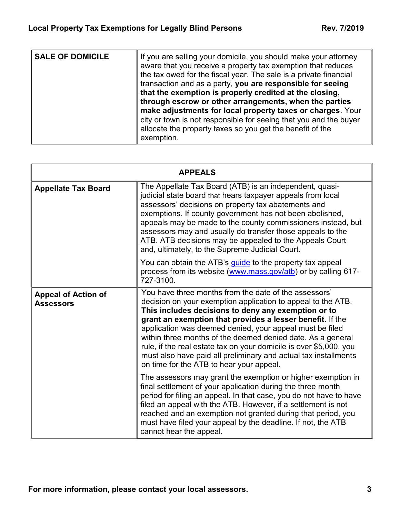| <b>SALE OF DOMICILE</b> | If you are selling your domicile, you should make your attorney<br>aware that you receive a property tax exemption that reduces<br>the tax owed for the fiscal year. The sale is a private financial<br>transaction and as a party, you are responsible for seeing<br>that the exemption is properly credited at the closing,<br>through escrow or other arrangements, when the parties<br>make adjustments for local property taxes or charges. Your<br>city or town is not responsible for seeing that you and the buyer<br>allocate the property taxes so you get the benefit of the<br>exemption. |  |  |
|-------------------------|-------------------------------------------------------------------------------------------------------------------------------------------------------------------------------------------------------------------------------------------------------------------------------------------------------------------------------------------------------------------------------------------------------------------------------------------------------------------------------------------------------------------------------------------------------------------------------------------------------|--|--|
|-------------------------|-------------------------------------------------------------------------------------------------------------------------------------------------------------------------------------------------------------------------------------------------------------------------------------------------------------------------------------------------------------------------------------------------------------------------------------------------------------------------------------------------------------------------------------------------------------------------------------------------------|--|--|

|                                                | <b>APPEALS</b>                                                                                                                                                                                                                                                                                                                                                                                                                                                                                                                                            |
|------------------------------------------------|-----------------------------------------------------------------------------------------------------------------------------------------------------------------------------------------------------------------------------------------------------------------------------------------------------------------------------------------------------------------------------------------------------------------------------------------------------------------------------------------------------------------------------------------------------------|
| <b>Appellate Tax Board</b>                     | The Appellate Tax Board (ATB) is an independent, quasi-<br>judicial state board that hears taxpayer appeals from local<br>assessors' decisions on property tax abatements and<br>exemptions. If county government has not been abolished,<br>appeals may be made to the county commissioners instead, but<br>assessors may and usually do transfer those appeals to the<br>ATB. ATB decisions may be appealed to the Appeals Court<br>and, ultimately, to the Supreme Judicial Court.                                                                     |
|                                                | You can obtain the ATB's <i>quide</i> to the property tax appeal<br>process from its website (www.mass.gov/atb) or by calling 617-<br>727-3100.                                                                                                                                                                                                                                                                                                                                                                                                           |
| <b>Appeal of Action of</b><br><b>Assessors</b> | You have three months from the date of the assessors'<br>decision on your exemption application to appeal to the ATB.<br>This includes decisions to deny any exemption or to<br>grant an exemption that provides a lesser benefit. If the<br>application was deemed denied, your appeal must be filed<br>within three months of the deemed denied date. As a general<br>rule, if the real estate tax on your domicile is over \$5,000, you<br>must also have paid all preliminary and actual tax installments<br>on time for the ATB to hear your appeal. |
|                                                | The assessors may grant the exemption or higher exemption in<br>final settlement of your application during the three month<br>period for filing an appeal. In that case, you do not have to have<br>filed an appeal with the ATB. However, if a settlement is not<br>reached and an exemption not granted during that period, you<br>must have filed your appeal by the deadline. If not, the ATB<br>cannot hear the appeal.                                                                                                                             |